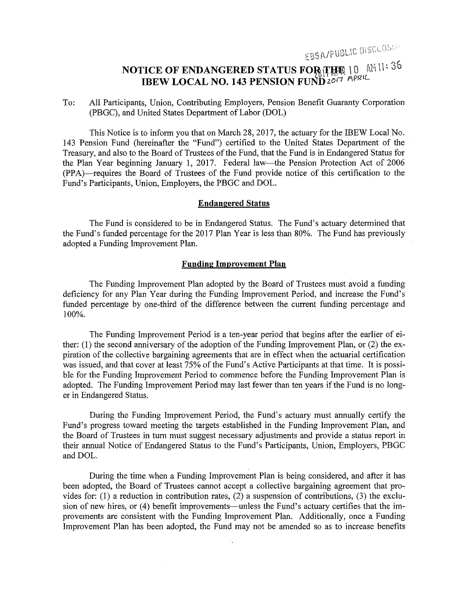EBSA/PUBLIC DISCLOSUE

# **NOTICE OF ENDANGERED STATUS FOR THE 10 AM 11: 36 IBEW LOCAL NO. 143 PENSION FUND 2017 APRIL**

To: All Participants, Union, Contributing Employers, Pension Benefit Guaranty Corporation (PBGC), and United States Department of Labor (DOL)

This Notice is to inform you that on March 28, 2017, the actuary for the IBEW Local No. 143 Pension Fund (hereinafter the "Fund") certified to the United States Department of the Treasury, and also to the Board of Trustees of the Fund, that the Fund is in Endangered Status for the Plan Year beginning January l, 2017. Federal law-the Pension Protection Act of 2006 (PPA)--requires the Board of Trustees of the Fund provide notice of this certification to the Fund's Participants, Union, Employers, the PBGC and DOL.

#### **Endangered Status**

The Fund is considered to be in Endangered Status. The Fund's actuary determined that the Fund's funded percentage for the 2017 Plan Year is less than 80%. The Fund has previously adopted a Funding Improvement Plan.

#### **Funding Improvement Plan**

The Funding Improvement Plan adopted by the Board of Trustees must avoid a funding deficiency for any Plan Year during the Funding Improvement Period, and increase the Fund's funded percentage by one-third of the difference between the current funding percentage and 100%.

The Funding Improvement Period is a ten-year period that begins after the earlier of either: (I) the second anniversary of the adoption of the Funding Improvement Plan, or (2) the expiration of the collective bargaining agreements that are in effect when the actuarial certification was issued, and that cover at least 75% of the Fund's Active Participants at that time. It is possible for the Funding Improvement Period to commence before the Funding Improvement Plan is adopted. The Funding Improvement Period may last fewer than ten years ifthe Fund is no longer in Endangered Status.

During the Funding Improvement Period, the Fund's actuary must annually certify the Fund's progress toward meeting the targets established in the Funding Improvement Plan, and the Board of Trustees in turn must suggest necessary adjustments and provide a status report in their annual Notice of Endangered Status to the Fund's Participants, Union, Employers, PBGC and DOL.

During the time when a Funding Improvement Plan is being considered, and after it has been adopted, the Board of Trustees cannot accept a collective bargaining agreement that provides for: (1) a reduction in contribution rates, (2) a suspension of contributions, (3) the exclusion of new hires, or (4) benefit improvements—unless the Fund's actuary certifies that the improvements are consistent with the Funding Improvement Plan. Additionally, once a Funding Improvement Plan has been adopted, the Fund may not be amended so as to increase benefits

ЪÎ